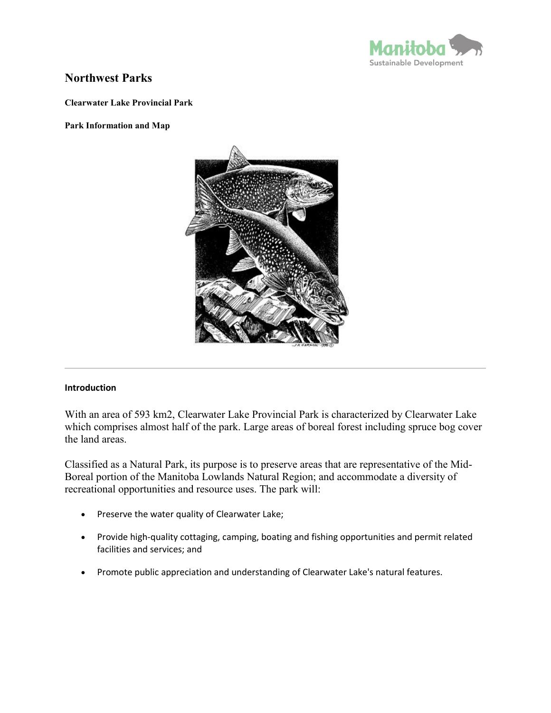

# **Northwest Parks**

**Clearwater Lake Provincial Park**

#### **Park Information and Map**



### **Introduction**

With an area of 593 km2, Clearwater Lake Provincial Park is characterized by Clearwater Lake which comprises almost half of the park. Large areas of boreal forest including spruce bog cover the land areas.

Classified as a Natural Park, its purpose is to preserve areas that are representative of the Mid-Boreal portion of the Manitoba Lowlands Natural Region; and accommodate a diversity of recreational opportunities and resource uses. The park will:

- Preserve the water quality of Clearwater Lake;
- Provide high-quality cottaging, camping, boating and fishing opportunities and permit related facilities and services; and
- Promote public appreciation and understanding of Clearwater Lake's natural features.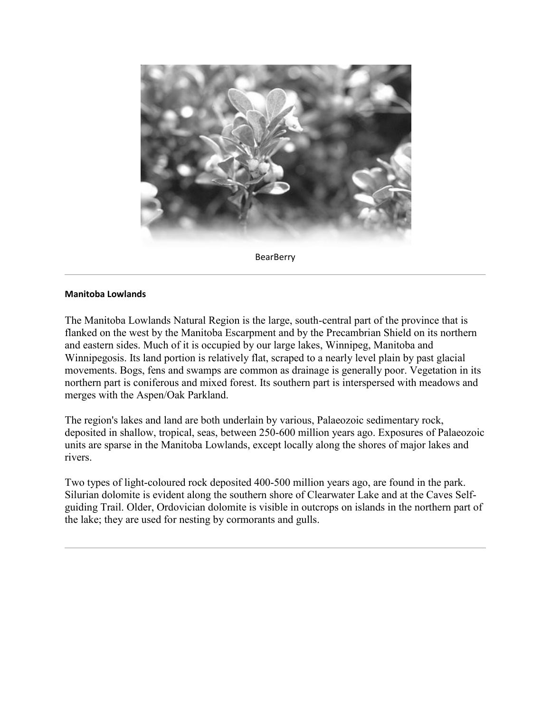

**BearBerry** 

#### **Manitoba Lowlands**

The Manitoba Lowlands Natural Region is the large, south-central part of the province that is flanked on the west by the Manitoba Escarpment and by the Precambrian Shield on its northern and eastern sides. Much of it is occupied by our large lakes, Winnipeg, Manitoba and Winnipegosis. Its land portion is relatively flat, scraped to a nearly level plain by past glacial movements. Bogs, fens and swamps are common as drainage is generally poor. Vegetation in its northern part is coniferous and mixed forest. Its southern part is interspersed with meadows and merges with the Aspen/Oak Parkland.

The region's lakes and land are both underlain by various, Palaeozoic sedimentary rock, deposited in shallow, tropical, seas, between 250-600 million years ago. Exposures of Palaeozoic units are sparse in the Manitoba Lowlands, except locally along the shores of major lakes and rivers.

Two types of light-coloured rock deposited 400-500 million years ago, are found in the park. Silurian dolomite is evident along the southern shore of Clearwater Lake and at the Caves Selfguiding Trail. Older, Ordovician dolomite is visible in outcrops on islands in the northern part of the lake; they are used for nesting by cormorants and gulls.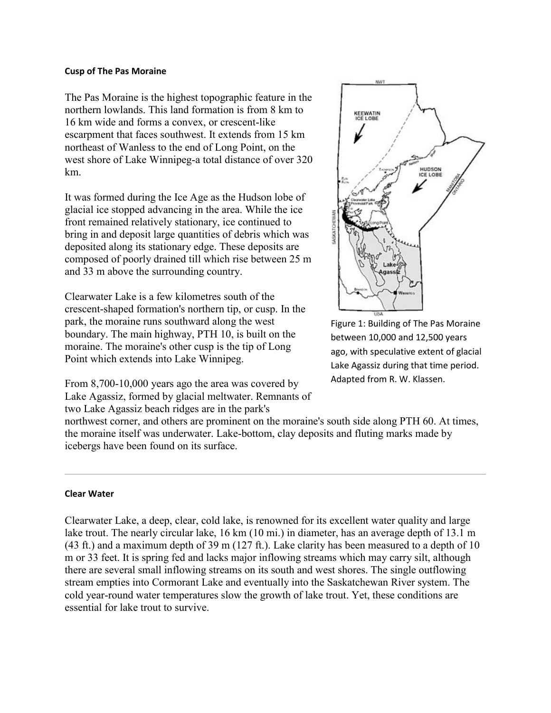#### **Cusp of The Pas Moraine**

The Pas Moraine is the highest topographic feature in the northern lowlands. This land formation is from 8 km to 16 km wide and forms a convex, or crescent-like escarpment that faces southwest. It extends from 15 km northeast of Wanless to the end of Long Point, on the west shore of Lake Winnipeg-a total distance of over 320 km.

It was formed during the Ice Age as the Hudson lobe of glacial ice stopped advancing in the area. While the ice front remained relatively stationary, ice continued to bring in and deposit large quantities of debris which was deposited along its stationary edge. These deposits are composed of poorly drained till which rise between 25 m and 33 m above the surrounding country.

Clearwater Lake is a few kilometres south of the crescent-shaped formation's northern tip, or cusp. In the park, the moraine runs southward along the west boundary. The main highway, PTH 10, is built on the moraine. The moraine's other cusp is the tip of Long Point which extends into Lake Winnipeg.

From 8,700-10,000 years ago the area was covered by Lake Agassiz, formed by glacial meltwater. Remnants of two Lake Agassiz beach ridges are in the park's



Figure 1: Building of The Pas Moraine between 10,000 and 12,500 years ago, with speculative extent of glacial Lake Agassiz during that time period. Adapted from R. W. Klassen.

northwest corner, and others are prominent on the moraine's south side along PTH 60. At times, the moraine itself was underwater. Lake-bottom, clay deposits and fluting marks made by icebergs have been found on its surface.

### **Clear Water**

Clearwater Lake, a deep, clear, cold lake, is renowned for its excellent water quality and large lake trout. The nearly circular lake, 16 km (10 mi.) in diameter, has an average depth of 13.1 m (43 ft.) and a maximum depth of 39 m (127 ft.). Lake clarity has been measured to a depth of 10 m or 33 feet. It is spring fed and lacks major inflowing streams which may carry silt, although there are several small inflowing streams on its south and west shores. The single outflowing stream empties into Cormorant Lake and eventually into the Saskatchewan River system. The cold year-round water temperatures slow the growth of lake trout. Yet, these conditions are essential for lake trout to survive.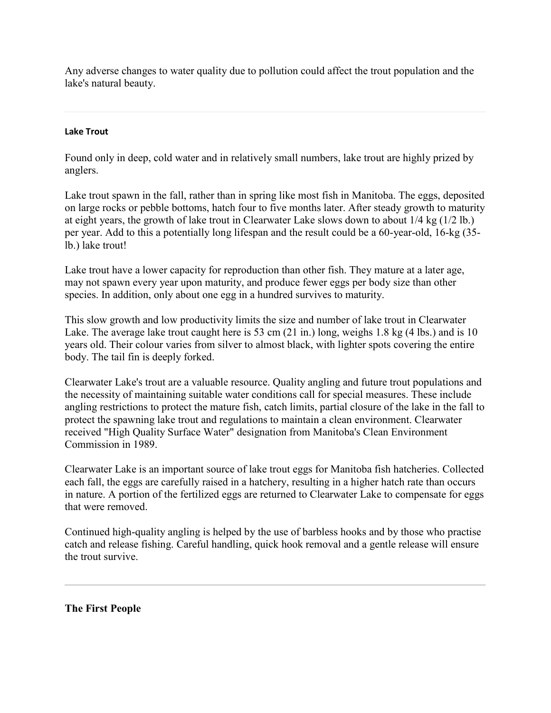Any adverse changes to water quality due to pollution could affect the trout population and the lake's natural beauty.

# **Lake Trout**

Found only in deep, cold water and in relatively small numbers, lake trout are highly prized by anglers.

Lake trout spawn in the fall, rather than in spring like most fish in Manitoba. The eggs, deposited on large rocks or pebble bottoms, hatch four to five months later. After steady growth to maturity at eight years, the growth of lake trout in Clearwater Lake slows down to about 1/4 kg (1/2 lb.) per year. Add to this a potentially long lifespan and the result could be a 60-year-old, 16-kg (35 lb.) lake trout!

Lake trout have a lower capacity for reproduction than other fish. They mature at a later age, may not spawn every year upon maturity, and produce fewer eggs per body size than other species. In addition, only about one egg in a hundred survives to maturity.

This slow growth and low productivity limits the size and number of lake trout in Clearwater Lake. The average lake trout caught here is 53 cm (21 in.) long, weighs 1.8 kg (4 lbs.) and is 10 years old. Their colour varies from silver to almost black, with lighter spots covering the entire body. The tail fin is deeply forked.

Clearwater Lake's trout are a valuable resource. Quality angling and future trout populations and the necessity of maintaining suitable water conditions call for special measures. These include angling restrictions to protect the mature fish, catch limits, partial closure of the lake in the fall to protect the spawning lake trout and regulations to maintain a clean environment. Clearwater received "High Quality Surface Water" designation from Manitoba's Clean Environment Commission in 1989.

Clearwater Lake is an important source of lake trout eggs for Manitoba fish hatcheries. Collected each fall, the eggs are carefully raised in a hatchery, resulting in a higher hatch rate than occurs in nature. A portion of the fertilized eggs are returned to Clearwater Lake to compensate for eggs that were removed.

Continued high-quality angling is helped by the use of barbless hooks and by those who practise catch and release fishing. Careful handling, quick hook removal and a gentle release will ensure the trout survive.

**The First People**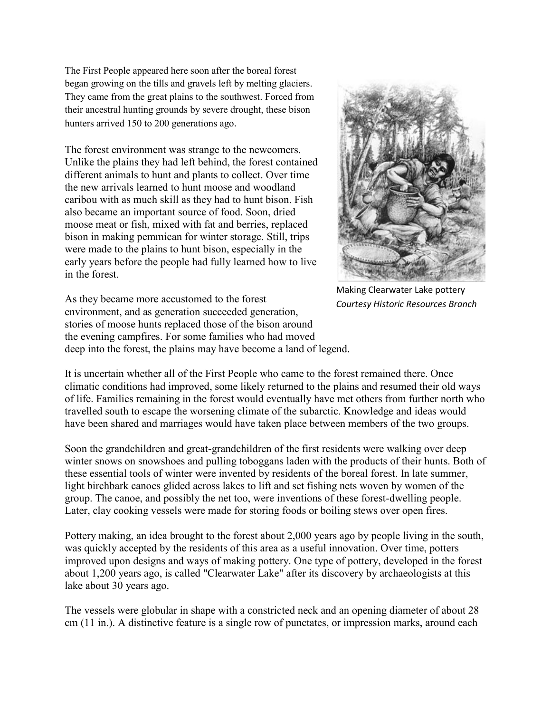The First People appeared here soon after the boreal forest began growing on the tills and gravels left by melting glaciers. They came from the great plains to the southwest. Forced from their ancestral hunting grounds by severe drought, these bison hunters arrived 150 to 200 generations ago.

The forest environment was strange to the newcomers. Unlike the plains they had left behind, the forest contained different animals to hunt and plants to collect. Over time the new arrivals learned to hunt moose and woodland caribou with as much skill as they had to hunt bison. Fish also became an important source of food. Soon, dried moose meat or fish, mixed with fat and berries, replaced bison in making pemmican for winter storage. Still, trips were made to the plains to hunt bison, especially in the early years before the people had fully learned how to live in the forest.



Making Clearwater Lake pottery *Courtesy Historic Resources Branch*

As they became more accustomed to the forest environment, and as generation succeeded generation, stories of moose hunts replaced those of the bison around the evening campfires. For some families who had moved deep into the forest, the plains may have become a land of legend.

It is uncertain whether all of the First People who came to the forest remained there. Once climatic conditions had improved, some likely returned to the plains and resumed their old ways of life. Families remaining in the forest would eventually have met others from further north who travelled south to escape the worsening climate of the subarctic. Knowledge and ideas would have been shared and marriages would have taken place between members of the two groups.

Soon the grandchildren and great-grandchildren of the first residents were walking over deep winter snows on snowshoes and pulling toboggans laden with the products of their hunts. Both of these essential tools of winter were invented by residents of the boreal forest. In late summer, light birchbark canoes glided across lakes to lift and set fishing nets woven by women of the group. The canoe, and possibly the net too, were inventions of these forest-dwelling people. Later, clay cooking vessels were made for storing foods or boiling stews over open fires.

Pottery making, an idea brought to the forest about 2,000 years ago by people living in the south, was quickly accepted by the residents of this area as a useful innovation. Over time, potters improved upon designs and ways of making pottery. One type of pottery, developed in the forest about 1,200 years ago, is called "Clearwater Lake" after its discovery by archaeologists at this lake about 30 years ago.

The vessels were globular in shape with a constricted neck and an opening diameter of about 28 cm (11 in.). A distinctive feature is a single row of punctates, or impression marks, around each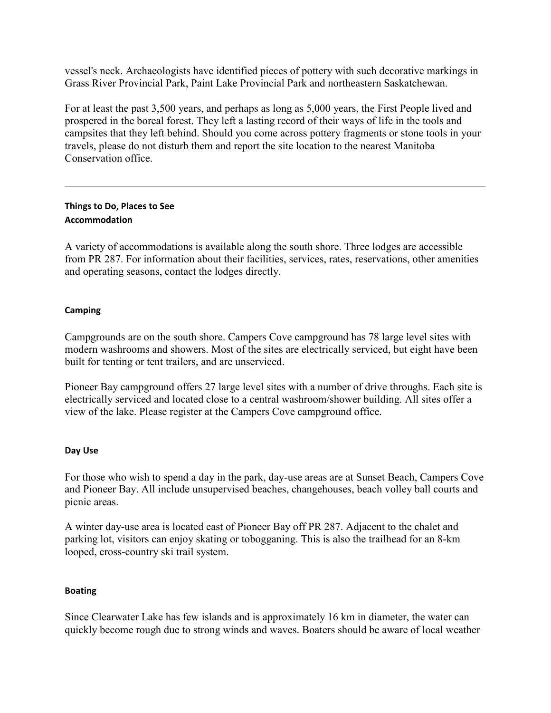vessel's neck. Archaeologists have identified pieces of pottery with such decorative markings in Grass River Provincial Park, Paint Lake Provincial Park and northeastern Saskatchewan.

For at least the past 3,500 years, and perhaps as long as 5,000 years, the First People lived and prospered in the boreal forest. They left a lasting record of their ways of life in the tools and campsites that they left behind. Should you come across pottery fragments or stone tools in your travels, please do not disturb them and report the site location to the nearest Manitoba Conservation office.

# **Things to Do, Places to See Accommodation**

A variety of accommodations is available along the south shore. Three lodges are accessible from PR 287. For information about their facilities, services, rates, reservations, other amenities and operating seasons, contact the lodges directly.

# **Camping**

Campgrounds are on the south shore. Campers Cove campground has 78 large level sites with modern washrooms and showers. Most of the sites are electrically serviced, but eight have been built for tenting or tent trailers, and are unserviced.

Pioneer Bay campground offers 27 large level sites with a number of drive throughs. Each site is electrically serviced and located close to a central washroom/shower building. All sites offer a view of the lake. Please register at the Campers Cove campground office.

# **Day Use**

For those who wish to spend a day in the park, day-use areas are at Sunset Beach, Campers Cove and Pioneer Bay. All include unsupervised beaches, changehouses, beach volley ball courts and picnic areas.

A winter day-use area is located east of Pioneer Bay off PR 287. Adjacent to the chalet and parking lot, visitors can enjoy skating or tobogganing. This is also the trailhead for an 8-km looped, cross-country ski trail system.

# **Boating**

Since Clearwater Lake has few islands and is approximately 16 km in diameter, the water can quickly become rough due to strong winds and waves. Boaters should be aware of local weather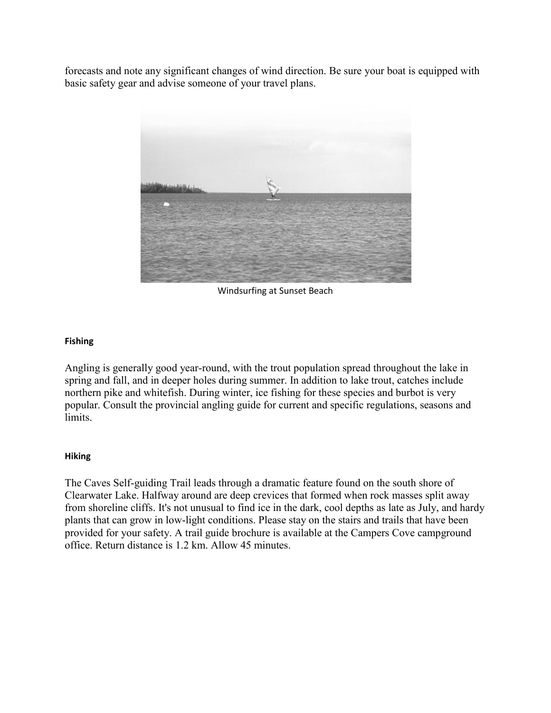forecasts and note any significant changes of wind direction. Be sure your boat is equipped with basic safety gear and advise someone of your travel plans.



Windsurfing at Sunset Beach

# **Fishing**

Angling is generally good year-round, with the trout population spread throughout the lake in spring and fall, and in deeper holes during summer. In addition to lake trout, catches include northern pike and whitefish. During winter, ice fishing for these species and burbot is very popular. Consult the provincial angling guide for current and specific regulations, seasons and limits.

# **Hiking**

The Caves Self-guiding Trail leads through a dramatic feature found on the south shore of Clearwater Lake. Halfway around are deep crevices that formed when rock masses split away from shoreline cliffs. It's not unusual to find ice in the dark, cool depths as late as July, and hardy plants that can grow in low-light conditions. Please stay on the stairs and trails that have been provided for your safety. A trail guide brochure is available at the Campers Cove campground office. Return distance is 1.2 km. Allow 45 minutes.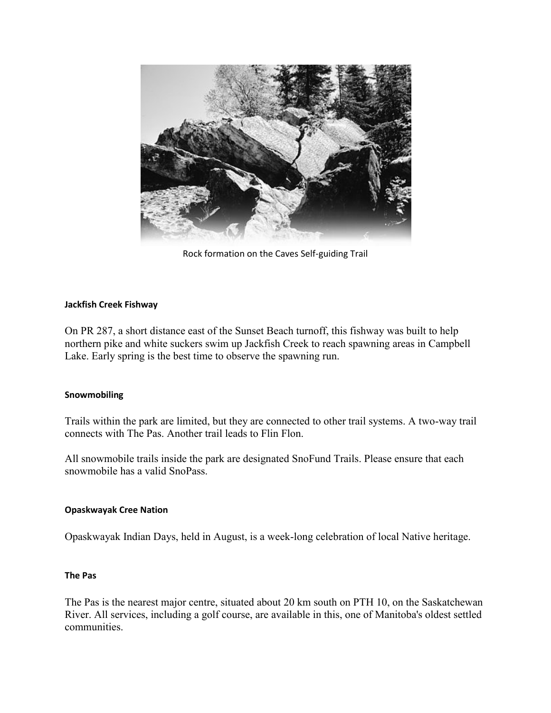

Rock formation on the Caves Self-guiding Trail

### **Jackfish Creek Fishway**

On PR 287, a short distance east of the Sunset Beach turnoff, this fishway was built to help northern pike and white suckers swim up Jackfish Creek to reach spawning areas in Campbell Lake. Early spring is the best time to observe the spawning run.

### **Snowmobiling**

Trails within the park are limited, but they are connected to other trail systems. A two-way trail connects with The Pas. Another trail leads to Flin Flon.

All snowmobile trails inside the park are designated SnoFund Trails. Please ensure that each snowmobile has a valid SnoPass.

### **Opaskwayak Cree Nation**

Opaskwayak Indian Days, held in August, is a week-long celebration of local Native heritage.

### **The Pas**

The Pas is the nearest major centre, situated about 20 km south on PTH 10, on the Saskatchewan River. All services, including a golf course, are available in this, one of Manitoba's oldest settled communities.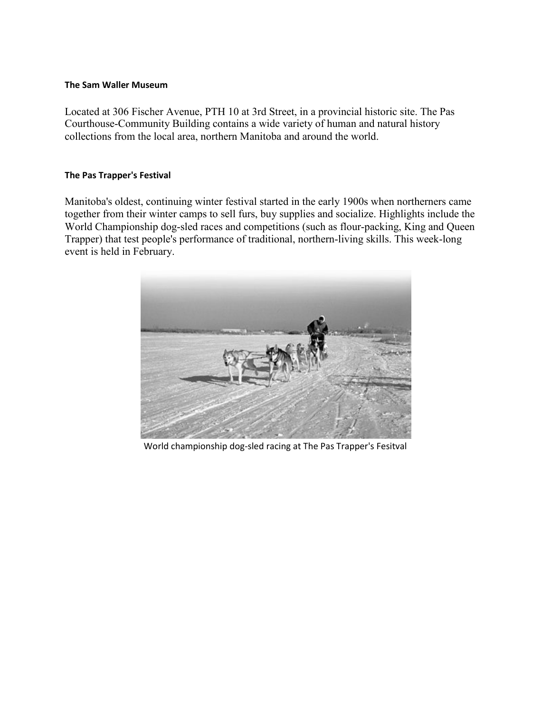#### **The Sam Waller Museum**

Located at 306 Fischer Avenue, PTH 10 at 3rd Street, in a provincial historic site. The Pas Courthouse-Community Building contains a wide variety of human and natural history collections from the local area, northern Manitoba and around the world.

### **The Pas Trapper's Festival**

Manitoba's oldest, continuing winter festival started in the early 1900s when northerners came together from their winter camps to sell furs, buy supplies and socialize. Highlights include the World Championship dog-sled races and competitions (such as flour-packing, King and Queen Trapper) that test people's performance of traditional, northern-living skills. This week-long event is held in February.



World championship dog-sled racing at The Pas Trapper's Fesitval